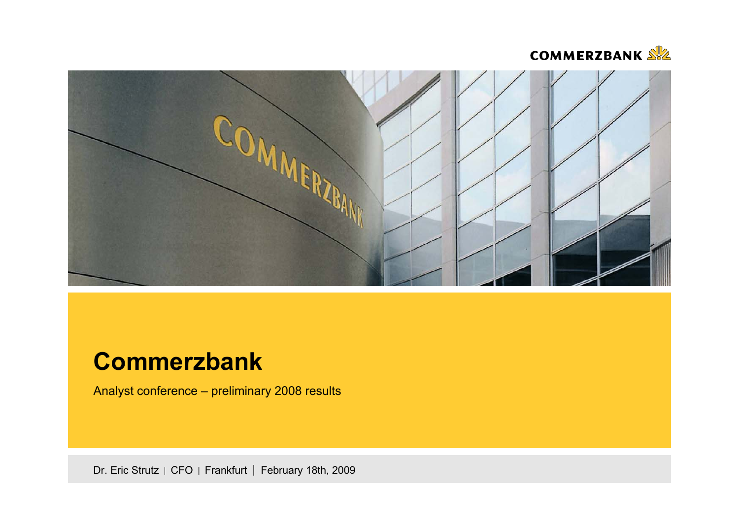



# **Commerzbank**

Analyst conference – preliminary 2008 results

Dr. Eric Strutz | CFO | Frankfurt | February 18th, 2009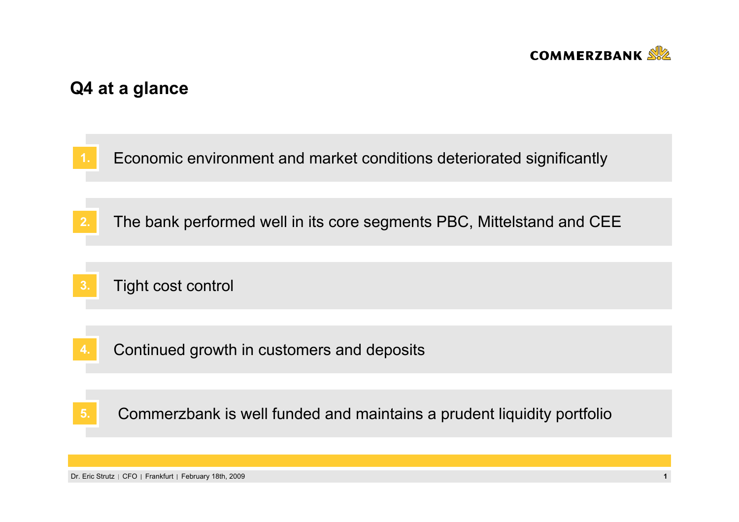

# **Q4 at a glance**

**1.**Economic environment and market conditions deteriorated significantly

- **2.**The bank performed well in its core segments PBC, Mittelstand and CEE
- **3.**Tight cost control
- Continued growth in customers and deposits **4.**

Commerzbank is well funded and maintains a prudent liquidity portfolio **5.**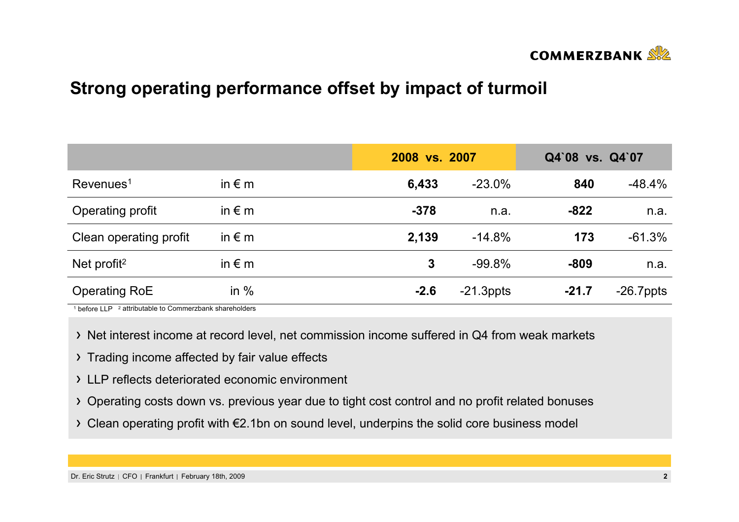

# **Strong operating performance offset by impact of turmoil**

|                          |                 | 2008 vs. 2007 |              | Q4`08 vs. Q4`07 |              |  |
|--------------------------|-----------------|---------------|--------------|-----------------|--------------|--|
| $Re$ venues <sup>1</sup> | in $\epsilon$ m | 6,433         | $-23.0%$     | 840             | $-48.4%$     |  |
| Operating profit         | in $\epsilon$ m | $-378$        | n.a.         | $-822$          | n.a.         |  |
| Clean operating profit   | in $\epsilon$ m | 2,139         | $-14.8%$     | 173             | $-61.3%$     |  |
| Net profit <sup>2</sup>  | in $\epsilon$ m | $\mathbf{3}$  | $-99.8%$     | $-809$          | n.a.         |  |
| <b>Operating RoE</b>     | in $%$          | $-2.6$        | $-21.3$ ppts | $-21.7$         | $-26.7$ ppts |  |

<sup>1</sup> before LLP <sup>2</sup> attributable to Commerzbank shareholders

- Net interest income at record level, net commission income suffered in Q4 from weak markets
- > Trading income affected by fair value effects
- LLP reflects deteriorated economic environment
- Operating costs down vs. previous year due to tight cost control and no profit related bonuses
- Clean operating profit with €2.1bn on sound level, underpins the solid core business model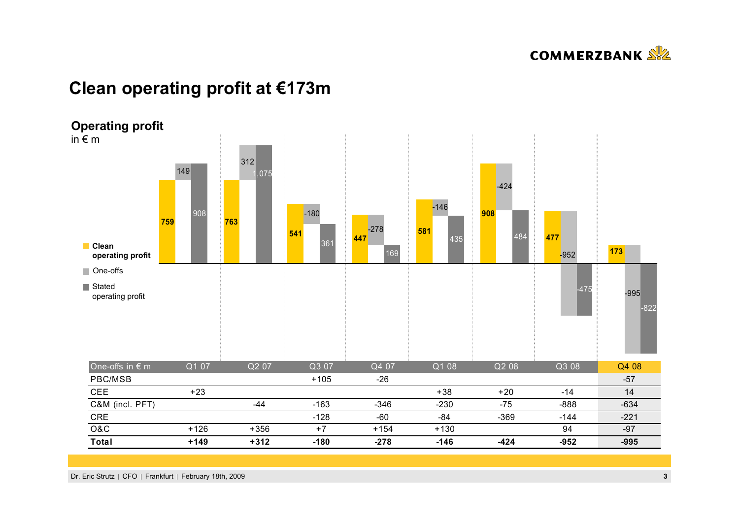

## **Clean operating profit at €173m**



Dr. Eric Strutz | CFO | Frankfurt | February 18th, 2009 **3**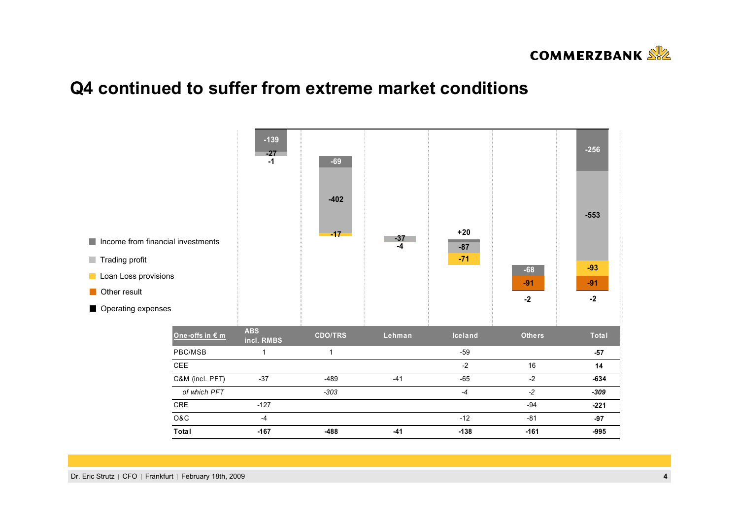

## **Q4 continued to suffer from extreme market conditions**

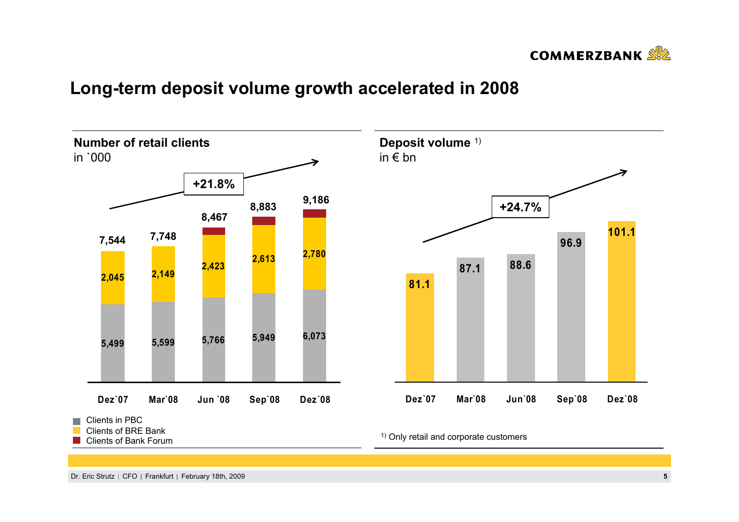

## **Long-term deposit volume growth accelerated in 2008**

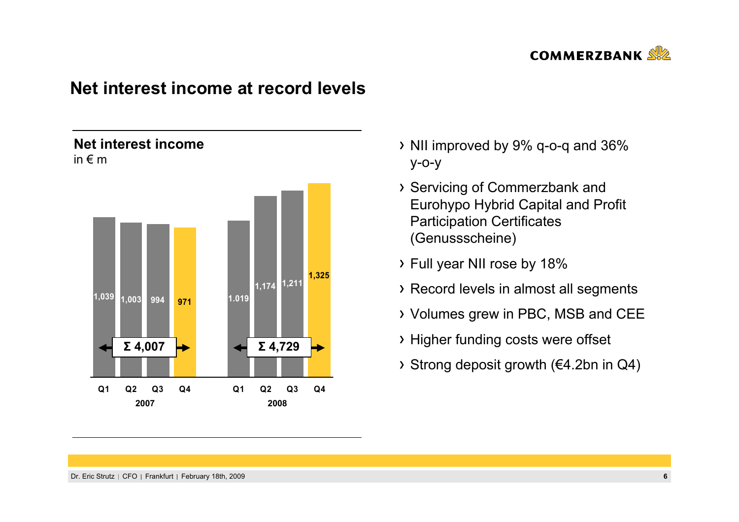

## **Net interest income at record levels**

## **Net interest income**in € m



- NII improved by 9% q-o-q and 36% y-o-y
- Servicing of Commerzbank and Eurohypo Hybrid Capital and Profit Participation Certificates (Genussscheine)
- Full year NII rose by 18%
- Record levels in almost all segments
- Volumes grew in PBC, MSB and CEE
- Higher funding costs were offset
- Strong deposit growth (€4.2bn in Q4)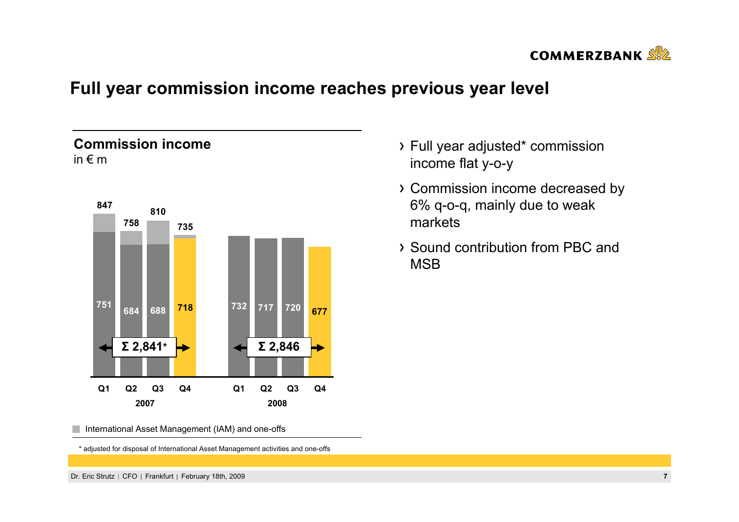

## **Full year commission income reaches previous year level**

## **Commission income**in € m



- Full year adjusted\* commission income flat y-o-y
- Commission income decreased by 6% q-o-q, mainly due to weak markets
- Sound contribution from PBC and **MSB**

International Asset Management (IAM) and one-offs

\* adjusted for disposal of International Asset Management activities and one-offs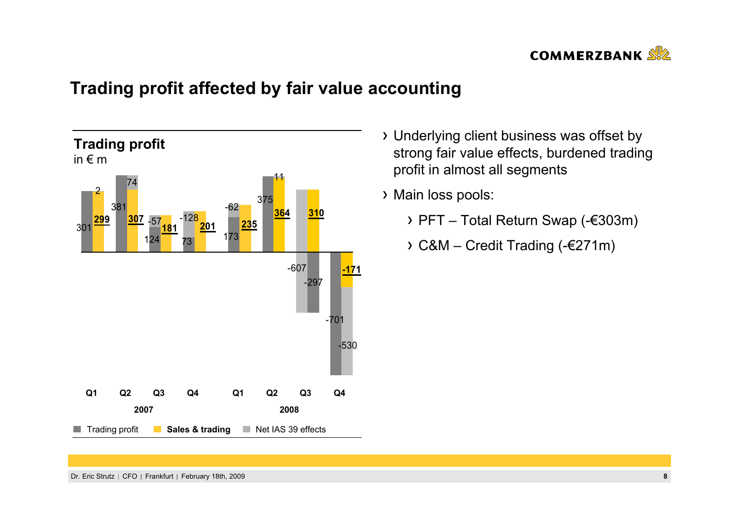

# **Trading profit affected by fair value accounting**



- Underlying client business was offset by strong fair value effects, burdened trading profit in almost all segments
- Main loss pools:
	- PFT Total Return Swap (-€303m)
	- C&M Credit Trading (-€271m)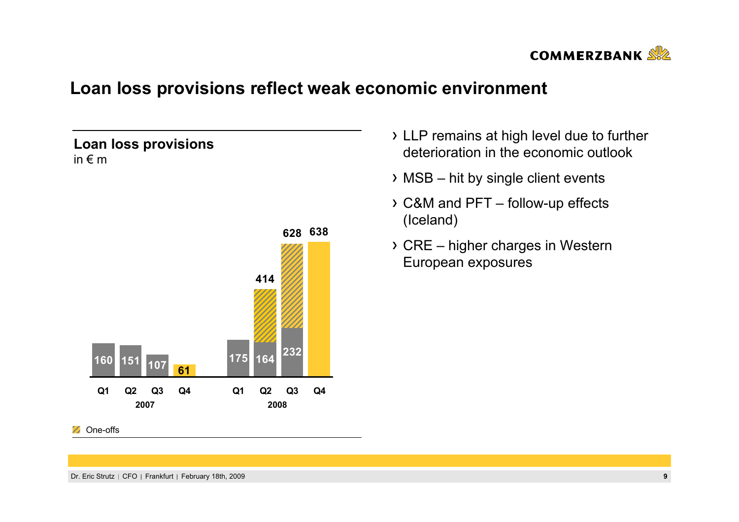

## **Loan loss provisions reflect weak economic environment**

## **Loan loss provisions** in € m



- LLP remains at high level due to further deterioration in the economic outlook
- $\rightarrow$  MSB hit by single client events
- C&M and PFT follow-up effects (Iceland)
- CRE higher charges in Western European exposures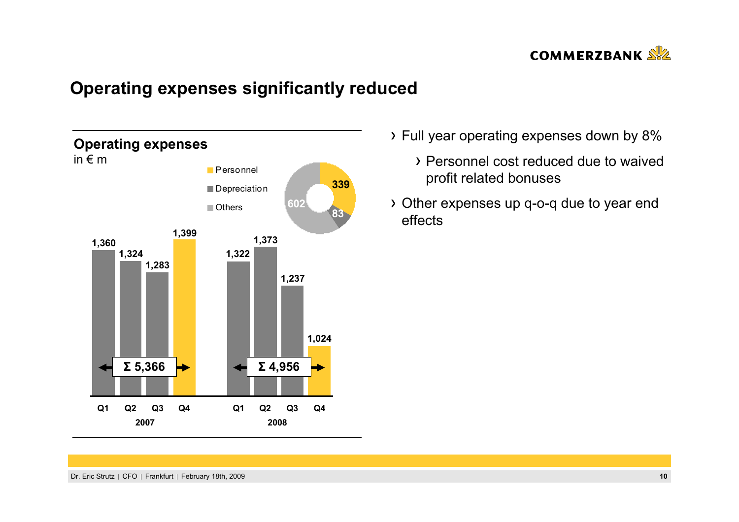

## **Operating expenses significantly reduced**



- Full year operating expenses down by 8%
	- Personnel cost reduced due to waived profit related bonuses
- Other expenses up q-o-q due to year end effects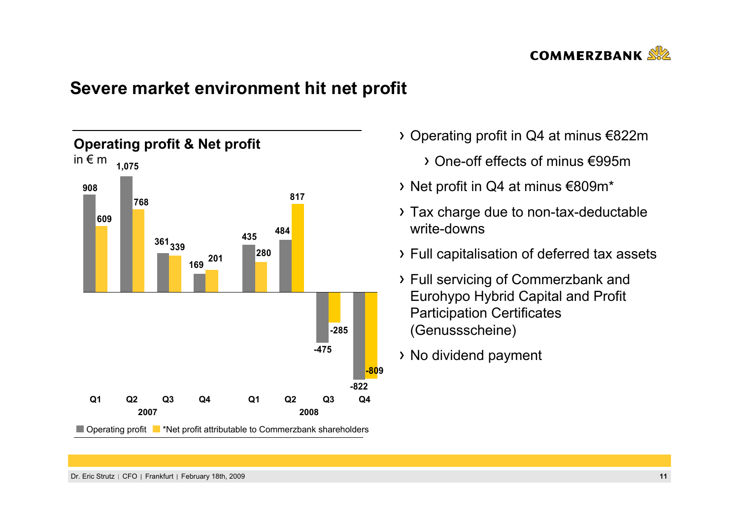

## **Severe market environment hit net profit**



- Operating profit in Q4 at minus €822m
	- One-off effects of minus €995m
- Net profit in Q4 at minus €809m\*
- Tax charge due to non-tax-deductable write-downs
- Full capitalisation of deferred tax assets
- Full servicing of Commerzbank and Eurohypo Hybrid Capital and Profit Participation Certificates (Genussscheine)
- No dividend payment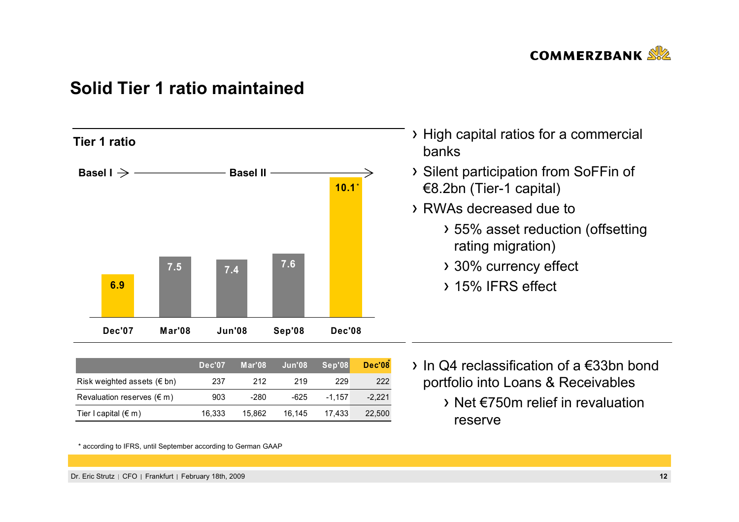

## **Solid Tier 1 ratio maintained**



|                                     | Dec'07 | Mar'08 | Jun'08 | Sep'08   | <b>Dec'08</b> |
|-------------------------------------|--------|--------|--------|----------|---------------|
| Risk weighted assets ( $\notin$ bn) | 237    | 212    | 219    | 229      | 222           |
| Revaluation reserves $(\epsilon m)$ | 903    | -280   | -625   | $-1.157$ | $-2.221$      |
| Tier I capital $(\epsilon m)$       | 16.333 | 15.862 | 16.145 | 17.433   | 22,500        |

\* according to IFRS, until September according to German GAAP

- High capital ratios for a commercial banks
- Silent participation from SoFFin of €8.2bn (Tier-1 capital)
- RWAs decreased due to
	- 55% asset reduction (offsetting rating migration)
	- 30% currency effect
	- 15% IFRS effect

- In Q4 reclassification of a €33bn bond portfolio into Loans & Receivables
	- Net €750m relief in revaluation reserve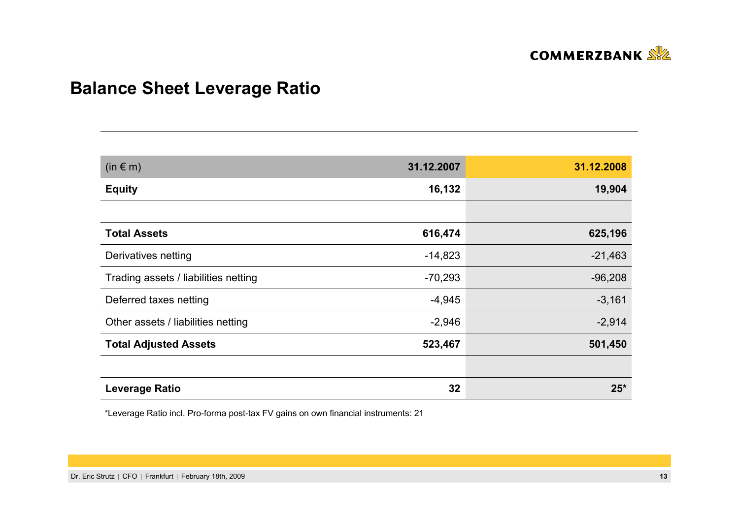

# **Balance Sheet Leverage Ratio**

| $(in \in m)$                         | 31.12.2007 | 31.12.2008 |
|--------------------------------------|------------|------------|
| <b>Equity</b>                        | 16,132     | 19,904     |
|                                      |            |            |
| <b>Total Assets</b>                  | 616,474    | 625,196    |
| Derivatives netting                  | $-14,823$  | $-21,463$  |
| Trading assets / liabilities netting | $-70,293$  | $-96,208$  |
| Deferred taxes netting               | $-4,945$   | $-3,161$   |
| Other assets / liabilities netting   | $-2,946$   | $-2,914$   |
| <b>Total Adjusted Assets</b>         | 523,467    | 501,450    |
|                                      |            |            |
| <b>Leverage Ratio</b>                | 32         | $25*$      |

\*Leverage Ratio incl. Pro-forma post-tax FV gains on own financial instruments: 21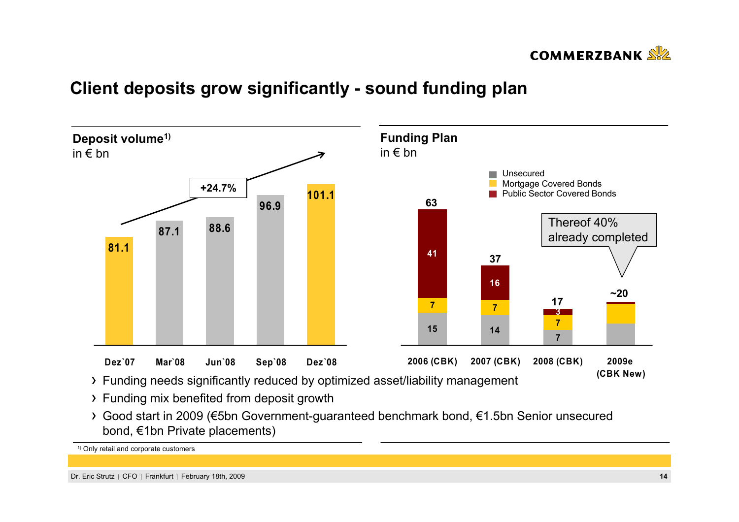

## **Client deposits grow significantly - sound funding plan**



Good start in 2009 (€5bn Government-guaranteed benchmark bond, €1.5bn Senior unsecured bond, €1bn Private placements)

1) Only retail and corporate customers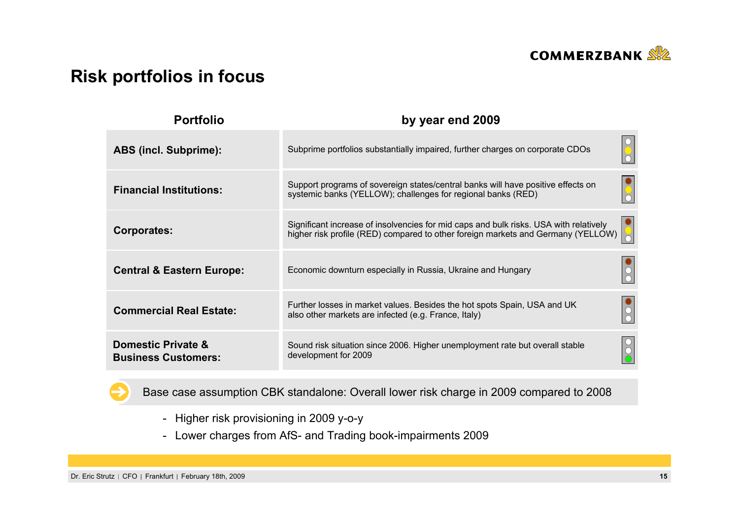

# **Risk portfolios in focus**

| <b>Portfolio</b>                                 | by year end 2009                                                                                                                                                          |
|--------------------------------------------------|---------------------------------------------------------------------------------------------------------------------------------------------------------------------------|
| <b>ABS (incl. Subprime):</b>                     | Subprime portfolios substantially impaired, further charges on corporate CDOs                                                                                             |
| <b>Financial Institutions:</b>                   | Support programs of sovereign states/central banks will have positive effects on<br>systemic banks (YELLOW); challenges for regional banks (RED)                          |
| <b>Corporates:</b>                               | Significant increase of insolvencies for mid caps and bulk risks. USA with relatively<br>higher risk profile (RED) compared to other foreign markets and Germany (YELLOW) |
| <b>Central &amp; Eastern Europe:</b>             | Economic downturn especially in Russia, Ukraine and Hungary                                                                                                               |
| <b>Commercial Real Estate:</b>                   | Further losses in market values. Besides the hot spots Spain, USA and UK<br>also other markets are infected (e.g. France, Italy)                                          |
| Domestic Private &<br><b>Business Customers:</b> | Sound risk situation since 2006. Higher unemployment rate but overall stable<br>development for 2009                                                                      |



Base case assumption CBK standalone: Overall lower risk charge in 2009 compared to 2008

- Higher risk provisioning in 2009 y-o-y
- Lower charges from AfS- and Trading book-impairments 2009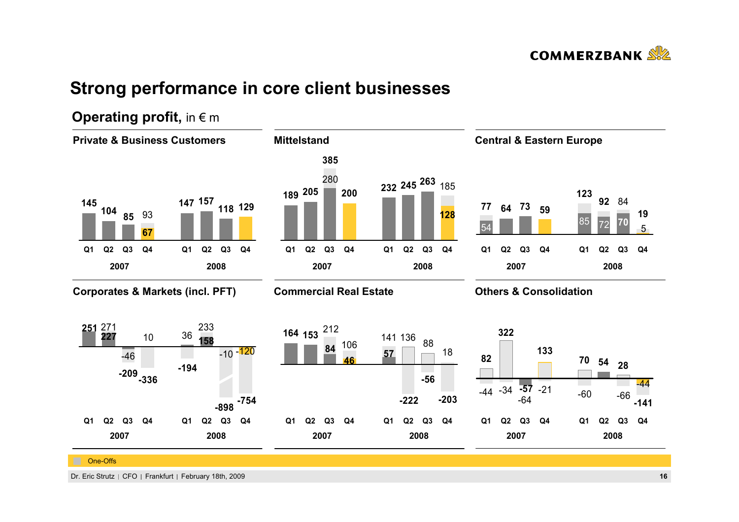

# **Strong performance in core client businesses**



## **Operating profit, in € m**

Dr. Eric Strutz CFO Frankfurt February 18th, 2009 **16**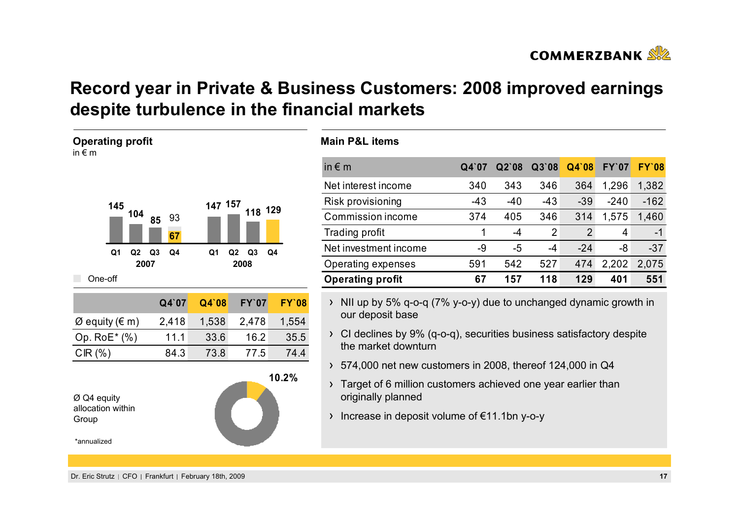

# **Record year in Private & Business Customers: 2008 improved earnings despite turbulence in the financial markets**

| <b>Operating profit</b><br>in $\epsilon$ m                           |                      |         |                                          |              |
|----------------------------------------------------------------------|----------------------|---------|------------------------------------------|--------------|
| 145<br>104                                                           | 93<br>85<br>67       | 147 157 | 118 129                                  |              |
| Q <sub>1</sub><br>Q2<br>2007                                         | Q4<br>Q <sub>3</sub> | Q1      | Q <sub>2</sub><br>Q <sub>3</sub><br>2008 | Q4           |
| One-off                                                              |                      |         |                                          |              |
|                                                                      | Q4`07                | Q4`08   | <b>FY'07</b>                             | <b>FY'08</b> |
| $\varnothing$ equity ( $\in$ m)                                      | 2,418                | 1,538   | 2,478                                    | 1,554        |
| Op. RoE* (%)                                                         | 11.1                 | 33.6    | 16.2                                     | 35.5         |
| CIR(%)                                                               | 84.3                 | 73.8    | 77.5                                     | 74.4         |
| $\varnothing$ Q4 equity<br>allocation within<br>Group<br>*annualized |                      |         |                                          | 10.2%        |

| in $\notin$ m           | Q4'07 | Q2'08 | Q3'08          | Q4`08          | <b>FY'07</b> | <b>FY'08</b> |
|-------------------------|-------|-------|----------------|----------------|--------------|--------------|
| Net interest income     | 340   | 343   | 346            | 364            | 1,296        | 1,382        |
| Risk provisioning       | $-43$ | $-40$ | $-43$          | $-39$          | $-240$       | $-162$       |
| Commission income       | 374   | 405   | 346            | 314            | 1,575        | 1,460        |
| Trading profit          | 1     | -4    | $\overline{2}$ | $\overline{2}$ | 4            | $-1$         |
| Net investment income   | $-9$  | $-5$  | -4             | $-24$          | -8           | $-37$        |
| Operating expenses      | 591   | 542   | 527            | 474            | 2,202        | 2,075        |
| <b>Operating profit</b> | 67    | 157   | 118            | 129            | 401          | 551          |

- $\rightarrow$  NII up by 5% q-o-q (7% y-o-y) due to unchanged dynamic growth in our deposit base
- CI declines by 9% (q-o-q), securities business satisfactory despite the market downturn
- 574,000 net new customers in 2008, thereof 124,000 in Q4
- Target of 6 million customers achieved one year earlier than originally planned
- $\rightarrow$  Increase in deposit volume of  $\epsilon$ 11.1bn y-o-y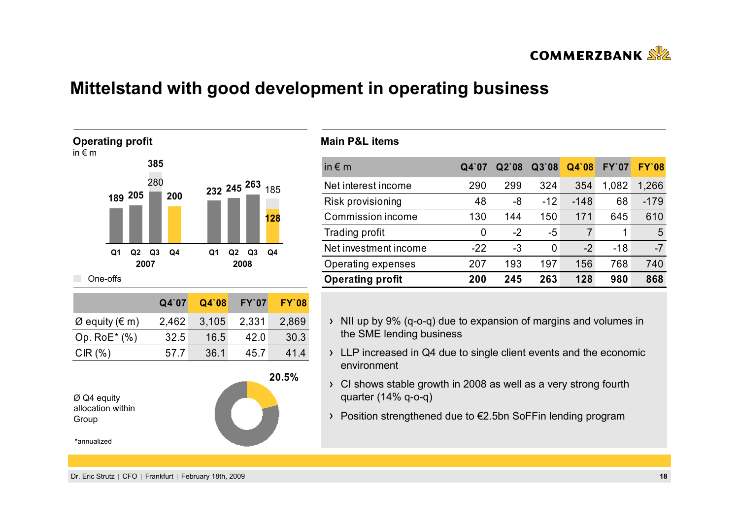

## **Mittelstand with good development in operating business**



| in $\epsilon$ m         | Q4`07 | $Q2$ 08 | Q3'08 | Q4'08 | <b>FY'07</b> | <b>FY'08</b> |
|-------------------------|-------|---------|-------|-------|--------------|--------------|
| Net interest income     | 290   | 299     | 324   | 354   | 1,082        | 1,266        |
| Risk provisioning       | 48    | -8      | $-12$ | -148  | 68           | $-179$       |
| Commission income       | 130   | 144     | 150   | 171   | 645          | 610          |
| Trading profit          | 0     | -2      | $-5$  | 7     |              | 5            |
| Net investment income   | $-22$ | $-3$    | 0     | $-2$  | $-18$        | $-7$         |
| Operating expenses      | 207   | 193     | 197   | 156   | 768          | 740          |
| <b>Operating profit</b> | 200   | 245     | 263   | 128   | 980          | 868          |

- $\rightarrow$  NII up by 9% (q-o-q) due to expansion of margins and volumes in the SME lending business
- If LLP increased in Q4 due to single client events and the economic environment
- CI shows stable growth in 2008 as well as a very strong fourth quarter (14% q-o-q)
- Position strengthened due to €2.5bn SoFFin lending program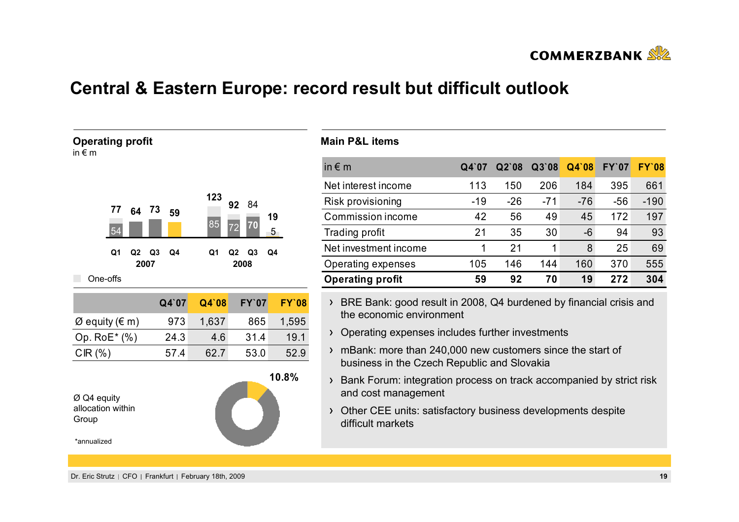

## **Central & Eastern Europe: record result but difficult outlook**



| in $\notin$ m           | Q4'07 | $Q2$ 08 | Q3'08 | Q4`08 | <b>FY'07</b> | <b>FY'08</b> |
|-------------------------|-------|---------|-------|-------|--------------|--------------|
| Net interest income     | 113   | 150     | 206   | 184   | 395          | 661          |
| Risk provisioning       | $-19$ | $-26$   | $-71$ | $-76$ | $-56$        | $-190$       |
| Commission income       | 42    | 56      | 49    | 45    | 172          | 197          |
| Trading profit          | 21    | 35      | 30    | -6    | 94           | 93           |
| Net investment income   |       | 21      | 1     | 8     | 25           | 69           |
| Operating expenses      | 105   | 146     | 144   | 160   | 370          | 555          |
| <b>Operating profit</b> | 59    | 92      | 70    | 19    | 272          | 304          |

- > BRE Bank: good result in 2008, Q4 burdened by financial crisis and the economic environment
- > Operating expenses includes further investments
- mBank: more than 240,000 new customers since the start of business in the Czech Republic and Slovakia
- > Bank Forum: integration process on track accompanied by strict risk and cost management
- Other CEE units: satisfactory business developments despite difficult markets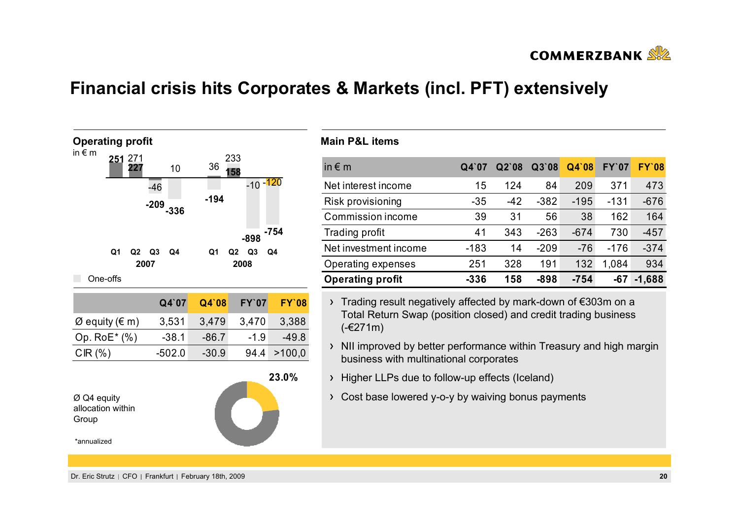

## **Financial crisis hits Corporates & Markets (incl. PFT) extensively**



| in $\notin$ m           | Q4'07  | $Q2$ 08 | Q3'08  | Q4'08  | <b>FY'07</b> | <b>FY'08</b> |
|-------------------------|--------|---------|--------|--------|--------------|--------------|
| Net interest income     | 15     | 124     | 84     | 209    | 371          | 473          |
| Risk provisioning       | $-35$  | $-42$   | $-382$ | $-195$ | $-131$       | $-676$       |
| Commission income       | 39     | 31      | 56     | 38     | 162          | 164          |
| Trading profit          | 41     | 343     | $-263$ | $-674$ | 730          | $-457$       |
| Net investment income   | $-183$ | 14      | $-209$ | $-76$  | $-176$       | $-374$       |
| Operating expenses      | 251    | 328     | 191    | 132    | 1,084        | 934          |
| <b>Operating profit</b> | $-336$ | 158     | $-898$ | $-754$ | -67          | $-1,688$     |

- Trading result negatively affected by mark-down of €303m on a Total Return Swap (position closed) and credit trading business (-€271m)
- $\rightarrow$  NII improved by better performance within Treasury and high margin business with multinational corporates
- Higher LLPs due to follow-up effects (Iceland)
- Cost base lowered y-o-y by waiving bonus payments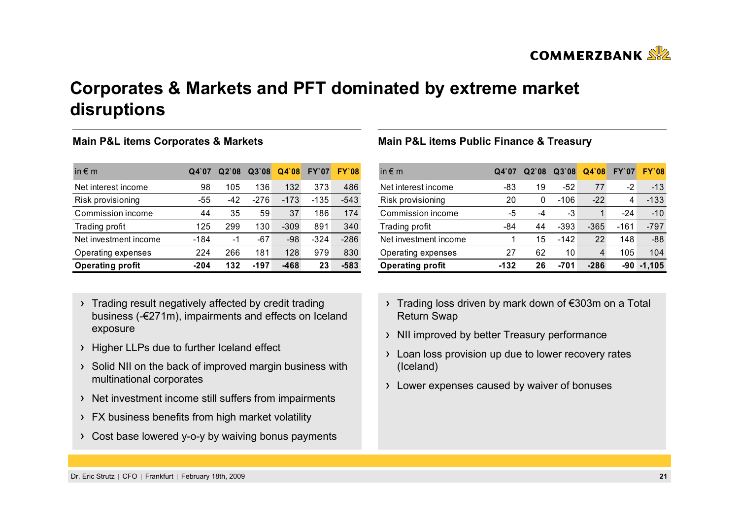

**COMMERZBANK** 

# **Corporates & Markets and PFT dominated by extreme market disruptions**

#### **Main P&L items Corporates & Markets**

| in $\epsilon$ m         | Q4'07  | $Q2$ `08 | Q3'08 | Q4'08  | <b>FY'07</b> | <b>FY'08</b> |
|-------------------------|--------|----------|-------|--------|--------------|--------------|
| Net interest income     | 98     | 105      | 136   | 132    | 373          | 486          |
| Risk provisioning       | -55    | -42      | -276  | $-173$ | -135         | $-543$       |
| Commission income       | 44     | 35       | 59    | 37     | 186          | 174          |
| Trading profit          | 125    | 299      | 130   | $-309$ | 891          | 340          |
| Net investment income   | -184   | -1       | $-67$ | $-98$  | $-324$       | $-286$       |
| Operating expenses      | 224    | 266      | 181   | 128    | 979          | 830          |
| <b>Operating profit</b> | $-204$ | 132      | -197  | $-468$ | 23           | $-583$       |

- > Trading result negatively affected by credit trading business (-€271m), impairments and effects on Iceland exposure
- > Higher LLPs due to further Iceland effect
- $\rightarrow$  Solid NII on the back of improved margin business with multinational corporates
- > Net investment income still suffers from impairments
- > FX business benefits from high market volatility
- Cost base lowered y-o-y by waiving bonus payments

#### **Main P&L items Public Finance & Treasury**

| in $\epsilon$ m         | $Q4$ 07 | Q2'08 | Q3'08  | Q4'08  | <b>FY'07</b> | <b>FY'08</b> |
|-------------------------|---------|-------|--------|--------|--------------|--------------|
| Net interest income     | -83     | 19    | -52    | 77     | -2           | $-13$        |
| Risk provisioning       | 20      | 0     | -106   | $-22$  | 4            | $-133$       |
| Commission income       | -5      | -4    | -3     |        | $-24$        | $-10$        |
| Trading profit          | -84     | 44    | -393   | $-365$ | -161         | $-797$       |
| Net investment income   |         | 15    | $-142$ | 22     | 148          | $-88$        |
| Operating expenses      | 27      | 62    | 10     | 4      | 105          | 104          |
| <b>Operating profit</b> | $-132$  | 26    | -701   | $-286$ | -90          | $-1.105$     |

- Trading loss driven by mark down of €303m on a Total Return Swap
- > NII improved by better Treasury performance
- Loan loss provision up due to lower recovery rates (Iceland)
- Lower expenses caused by waiver of bonuses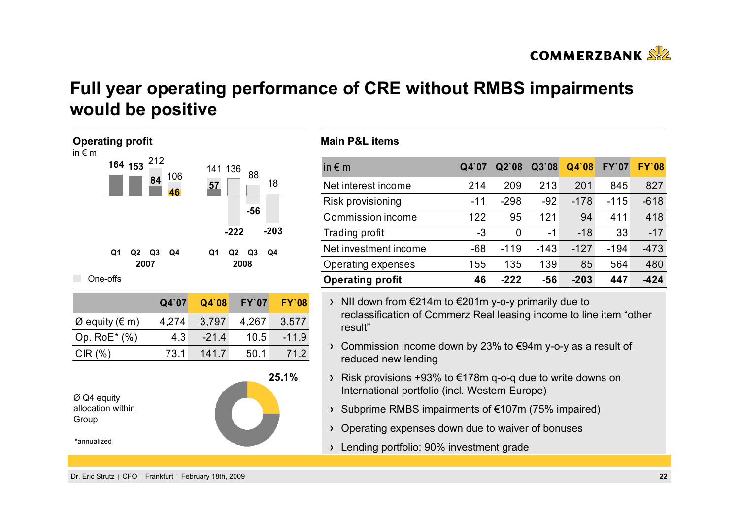

# **Full year operating performance of CRE without RMBS impairments would be positive**



#### **Main P&L items**

| in $\epsilon$ m         | Q4'07 | $Q2$ `08 | Q3'08  | Q4`08  | <b>FY'07</b> | <b>FY'08</b> |
|-------------------------|-------|----------|--------|--------|--------------|--------------|
| Net interest income     | 214   | 209      | 213    | 201    | 845          | 827          |
| Risk provisioning       | -11   | $-298$   | $-92$  | $-178$ | $-115$       | $-618$       |
| Commission income       | 122   | 95       | 121    | 94     | 411          | 418          |
| Trading profit          | -3    | 0        | -1     | $-18$  | 33           | $-17$        |
| Net investment income   | $-68$ | $-119$   | $-143$ | $-127$ | $-194$       | $-473$       |
| Operating expenses      | 155   | 135      | 139    | 85     | 564          | 480          |
| <b>Operating profit</b> | 46    | -222     | $-56$  | $-203$ | 447          | -424         |

NII down from €214m to €201m y-o-y primarily due to reclassification of Commerz Real leasing income to line item "other result"

- Commission income down by 23% to €94m y-o-y as a result of reduced new lending
- $\rightarrow$  Risk provisions +93% to €178m q-o-q due to write downs on International portfolio (incl. Western Europe)
- Subprime RMBS impairments of €107m (75% impaired)
- Operating expenses down due to waiver of bonuses
- Lending portfolio: 90% investment grade

Dr. Eric Strutz CFO Frankfurt February 18th, 2009 **22**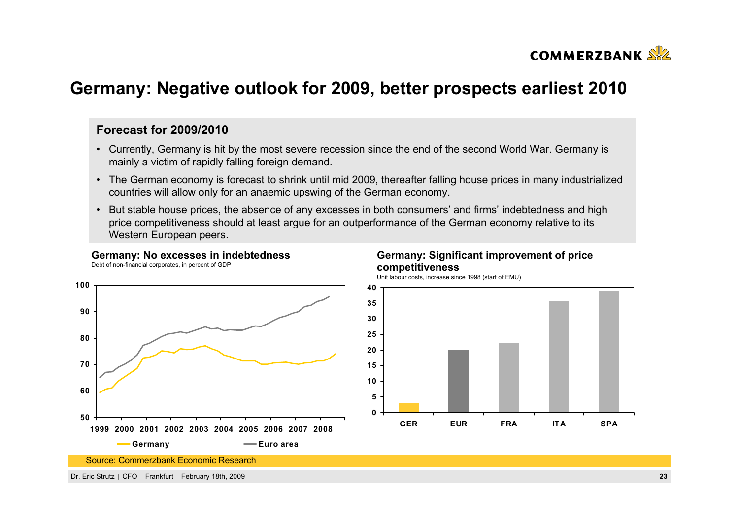

## **Germany: Negative outlook for 2009, better prospects earliest 2010**

#### **Forecast for 2009/2010**

- Currently, Germany is hit by the most severe recession since the end of the second World War. Germany is mainly a victim of rapidly falling foreign demand.
- The German economy is forecast to shrink until mid 2009, thereafter falling house prices in many industrialized countries will allow only for an anaemic upswing of the German economy.
- But stable house prices, the absence of any excesses in both consumers' and firms' indebtedness and high price competitiveness should at least argue for an outperformance of the German economy relative to its Western European peers.

#### **Germany: No excesses in indebtedness**

Debt of non-financial corporates, in percent of GDP



#### **Germany: Significant improvement of price competitiveness**

Unit labour costs, increase since 1998 (start of EMU)

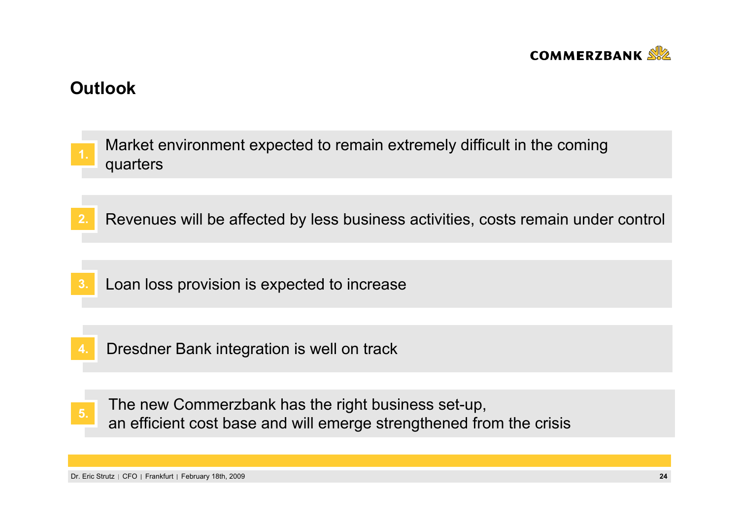

## **Outlook**

| $\overline{1}$ . | Market environment expected to remain extremely difficult in the coming<br>quarters |
|------------------|-------------------------------------------------------------------------------------|
|                  |                                                                                     |
| 2.               | Revenues will be affected by less business activities, costs remain under control   |
|                  |                                                                                     |
| $\mathbf{3}$     | Loan loss provision is expected to increase                                         |
|                  |                                                                                     |
|                  | Dresdner Bank integration is well on track                                          |
|                  |                                                                                     |
|                  | The new Cammer-book has the right business est up                                   |

The new Commerzbank has the right business set-up, an efficient cost base and will emerge strengthened from the crisis and the crisis and will emerge strengthened from the crisis

Dr. Eric Strutz CFO Frankfurt February 18th, 2009 **24**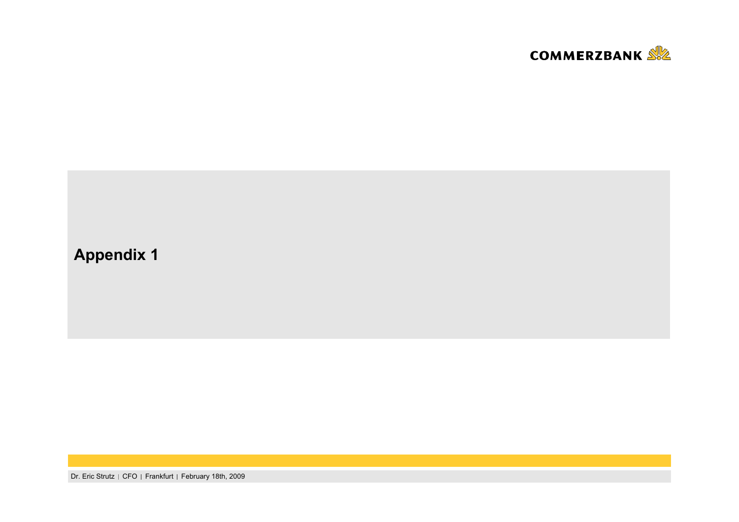

# **Appendix 1**

Dr. Eric Strutz | CFO | Frankfurt | February 18th, 2009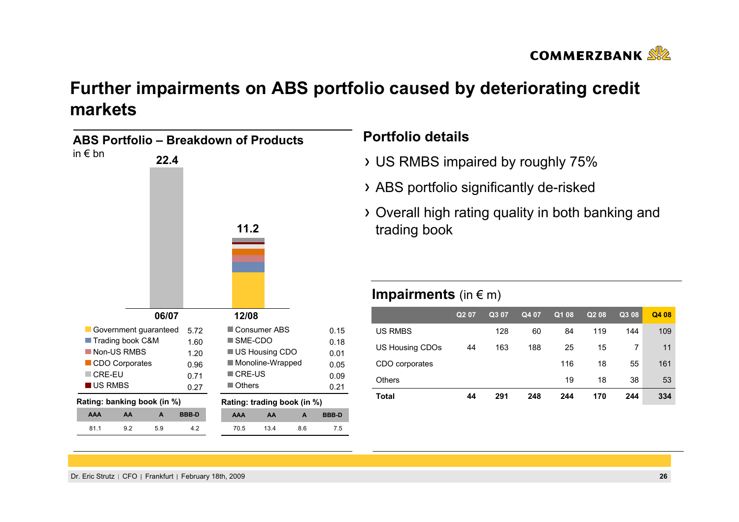

# **Further impairments on ABS portfolio caused by deteriorating credit markets**

| ABS Portfolio – Breakdown of Products |     |       |              |                             |                     |     |              |
|---------------------------------------|-----|-------|--------------|-----------------------------|---------------------|-----|--------------|
| in $\epsilon$ bn                      |     | 22.4  |              |                             |                     |     |              |
|                                       |     |       |              |                             |                     |     |              |
|                                       |     |       |              |                             |                     |     |              |
|                                       |     |       |              |                             |                     |     |              |
|                                       |     |       |              |                             |                     |     |              |
|                                       |     |       |              | 11.2                        |                     |     |              |
|                                       |     |       |              |                             |                     |     |              |
|                                       |     |       |              |                             |                     |     |              |
|                                       |     |       |              |                             |                     |     |              |
|                                       |     |       |              |                             |                     |     |              |
|                                       |     | 06/07 |              | 12/08                       |                     |     |              |
| Government guaranteed                 |     |       | 5.72         |                             | <b>Consumer ABS</b> |     | 0.15         |
| Trading book C&M                      |     |       | 1.60         | $\blacksquare$ SME-CDO      |                     |     | 0.18         |
| Non-US RMBS                           |     |       | 1.20         |                             | US Housing CDO      |     | 0.01         |
| <b>CDO Corporates</b>                 |     |       | 0.96         |                             | Monoline-Wrapped    |     | 0.05         |
| $\blacksquare$ CRE-EU                 |     |       | 0.71         | <b>CRE-US</b>               |                     |     | 0.09         |
| US RMBS                               |     |       | 0.27         | $\blacksquare$ Others       |                     |     | 0.21         |
| Rating: banking book (in %)           |     |       |              | Rating: trading book (in %) |                     |     |              |
| <b>AAA</b>                            | AA  | A     | <b>BBB-D</b> | <b>AAA</b>                  | AA                  | A   | <b>BBB-D</b> |
| 81.1                                  | 9.2 | 5.9   | 4.2          | 70.5                        | 13.4                | 8.6 | 7.5          |

## **Portfolio details**

- US RMBS impaired by roughly 75%
- ABS portfolio significantly de-risked
- Overall high rating quality in both banking and trading book

## **Impairments** (in € m)

|                 | Q <sub>2</sub> 07 | Q3 07 | Q4 07 | Q1 08 | Q <sub>2</sub> 08 | Q3 08 | Q4 08 |
|-----------------|-------------------|-------|-------|-------|-------------------|-------|-------|
| <b>US RMBS</b>  |                   | 128   | 60    | 84    | 119               | 144   | 109   |
| US Housing CDOs | 44                | 163   | 188   | 25    | 15                |       | 11    |
| CDO corporates  |                   |       |       | 116   | 18                | 55    | 161   |
| <b>Others</b>   |                   |       |       | 19    | 18                | 38    | 53    |
| <b>Total</b>    | 44                | 291   | 248   | 244   | 170               | 244   | 334   |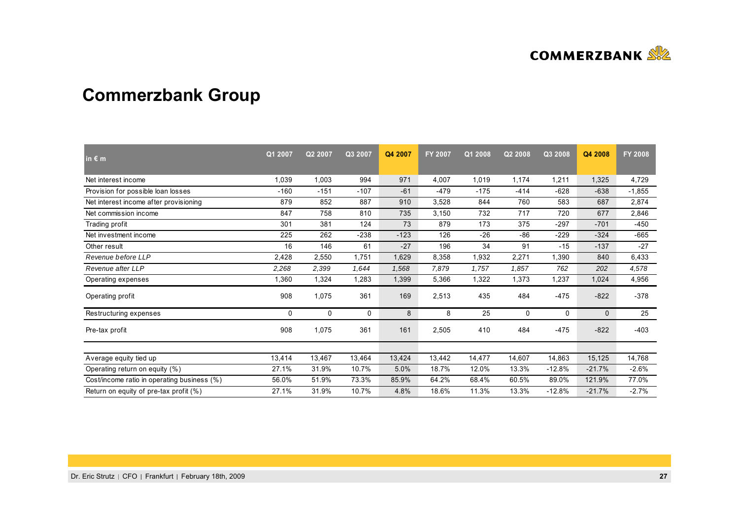

# **Commerzbank Group**

| in $\epsilon$ m                             | Q1 2007 | Q2 2007 | Q3 2007 | Q4 2007 | <b>FY 2007</b> | Q1 2008 | Q2 2008     | Q3 2008  | Q4 2008      | <b>FY 2008</b> |
|---------------------------------------------|---------|---------|---------|---------|----------------|---------|-------------|----------|--------------|----------------|
| Net interest income                         | 1,039   | 1,003   | 994     | 971     | 4,007          | 1,019   | 1,174       | 1,211    | 1,325        | 4,729          |
| Provision for possible loan losses          | $-160$  | $-151$  | $-107$  | $-61$   | $-479$         | $-175$  | $-414$      | $-628$   | $-638$       | $-1,855$       |
| Net interest income after provisioning      | 879     | 852     | 887     | 910     | 3,528          | 844     | 760         | 583      | 687          | 2,874          |
| Net commission income                       | 847     | 758     | 810     | 735     | 3,150          | 732     | 717         | 720      | 677          | 2,846          |
| Trading profit                              | 301     | 381     | 124     | 73      | 879            | 173     | 375         | $-297$   | $-701$       | $-450$         |
| Net investment income                       | 225     | 262     | $-238$  | $-123$  | 126            | $-26$   | -86         | $-229$   | $-324$       | $-665$         |
| Other result                                | 16      | 146     | 61      | $-27$   | 196            | 34      | 91          | $-15$    | $-137$       | $-27$          |
| Revenue before LLP                          | 2,428   | 2,550   | 1,751   | 1,629   | 8,358          | 1,932   | 2,271       | 1,390    | 840          | 6,433          |
| Revenue after LLP                           | 2,268   | 2,399   | 1,644   | 1,568   | 7,879          | 1,757   | 1,857       | 762      | 202          | 4,578          |
| Operating expenses                          | 1,360   | 1,324   | 1,283   | 1,399   | 5,366          | 1,322   | 1,373       | 1,237    | 1,024        | 4,956          |
| Operating profit                            | 908     | 1,075   | 361     | 169     | 2,513          | 435     | 484         | $-475$   | $-822$       | $-378$         |
| Restructuring expenses                      | 0       | 0       | 0       | 8       | 8              | 25      | $\mathbf 0$ | 0        | $\mathbf{0}$ | 25             |
| Pre-tax profit                              | 908     | 1,075   | 361     | 161     | 2,505          | 410     | 484         | $-475$   | $-822$       | $-403$         |
|                                             |         |         |         |         |                |         |             |          |              |                |
| Average equity tied up                      | 13,414  | 13,467  | 13,464  | 13,424  | 13,442         | 14,477  | 14,607      | 14,863   | 15,125       | 14,768         |
| Operating return on equity (%)              | 27.1%   | 31.9%   | 10.7%   | 5.0%    | 18.7%          | 12.0%   | 13.3%       | $-12.8%$ | $-21.7%$     | $-2.6%$        |
| Cost/income ratio in operating business (%) | 56.0%   | 51.9%   | 73.3%   | 85.9%   | 64.2%          | 68.4%   | 60.5%       | 89.0%    | 121.9%       | 77.0%          |
| Return on equity of pre-tax profit (%)      | 27.1%   | 31.9%   | 10.7%   | 4.8%    | 18.6%          | 11.3%   | 13.3%       | $-12.8%$ | $-21.7%$     | $-2.7%$        |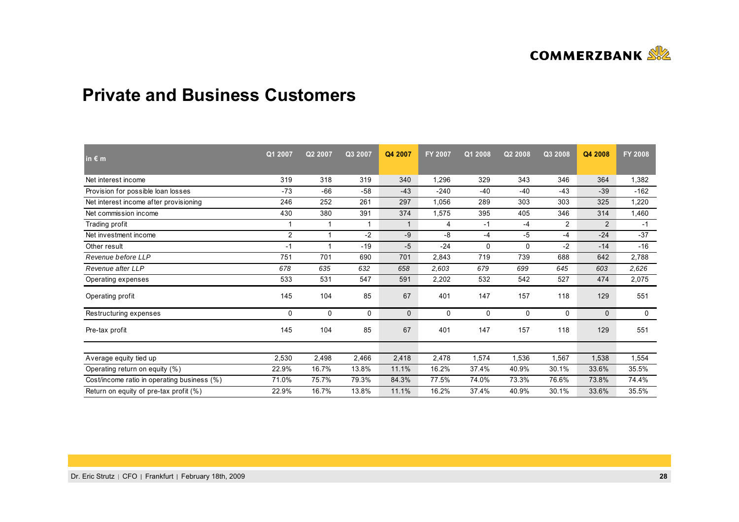

## **Private and Business Customers**

| in $\varepsilon$ m                          | Q1 2007        | Q2 2007 | Q3 2007 | Q4 2007      | <b>FY 2007</b> | Q1 2008 | Q2 2008 | Q3 2008        | Q4 2008        | <b>FY 2008</b> |
|---------------------------------------------|----------------|---------|---------|--------------|----------------|---------|---------|----------------|----------------|----------------|
| Net interest income                         | 319            | 318     | 319     | 340          | 1,296          | 329     | 343     | 346            | 364            | 1,382          |
| Provision for possible loan losses          | $-73$          | $-66$   | $-58$   | $-43$        | $-240$         | -40     | $-40$   | $-43$          | $-39$          | $-162$         |
| Net interest income after provisioning      | 246            | 252     | 261     | 297          | 1,056          | 289     | 303     | 303            | 325            | 1,220          |
| Net commission income                       | 430            | 380     | 391     | 374          | 1,575          | 395     | 405     | 346            | 314            | 1,460          |
| Trading profit                              |                |         |         | $\mathbf{1}$ | 4              | $-1$    | $-4$    | $\overline{2}$ | $\overline{2}$ | $-1$           |
| Net investment income                       | $\overline{2}$ | 1       | $-2$    | -9           | -8             | $-4$    | $-5$    | $-4$           | $-24$          | $-37$          |
| Other result                                | $-1$           |         | $-19$   | $-5$         | $-24$          | 0       | 0       | $-2$           | $-14$          | $-16$          |
| Revenue before LLP                          | 751            | 701     | 690     | 701          | 2,843          | 719     | 739     | 688            | 642            | 2,788          |
| Revenue after LLP                           | 678            | 635     | 632     | 658          | 2,603          | 679     | 699     | 645            | 603            | 2,626          |
| Operating expenses                          | 533            | 531     | 547     | 591          | 2,202          | 532     | 542     | 527            | 474            | 2,075          |
| Operating profit                            | 145            | 104     | 85      | 67           | 401            | 147     | 157     | 118            | 129            | 551            |
| Restructuring expenses                      | $\mathbf{0}$   | 0       | 0       | $\mathbf{0}$ | 0              | 0       | 0       | 0              | 0              | $\mathbf 0$    |
| Pre-tax profit                              | 145            | 104     | 85      | 67           | 401            | 147     | 157     | 118            | 129            | 551            |
|                                             |                |         |         |              |                |         |         |                |                |                |
| Average equity tied up                      | 2,530          | 2,498   | 2,466   | 2,418        | 2,478          | 1,574   | 1,536   | 1,567          | 1,538          | 1,554          |
| Operating return on equity (%)              | 22.9%          | 16.7%   | 13.8%   | 11.1%        | 16.2%          | 37.4%   | 40.9%   | 30.1%          | 33.6%          | 35.5%          |
| Cost/income ratio in operating business (%) | 71.0%          | 75.7%   | 79.3%   | 84.3%        | 77.5%          | 74.0%   | 73.3%   | 76.6%          | 73.8%          | 74.4%          |
| Return on equity of pre-tax profit (%)      | 22.9%          | 16.7%   | 13.8%   | 11.1%        | 16.2%          | 37.4%   | 40.9%   | 30.1%          | 33.6%          | 35.5%          |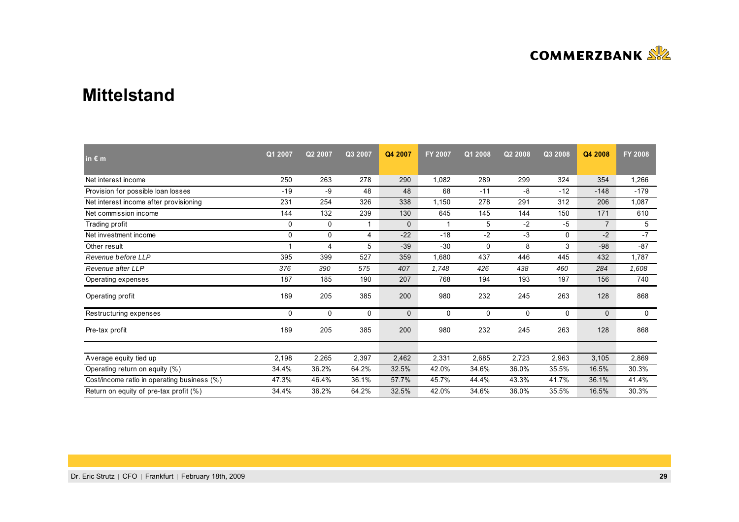

## **Mittelstand**

| in $\epsilon$ m                             | Q1 2007      | Q2 2007 | Q3 2007     | Q4 2007      | <b>FY 2007</b> | Q1 2008  | Q2 2008      | Q3 2008      | Q4 2008        | <b>FY 2008</b> |
|---------------------------------------------|--------------|---------|-------------|--------------|----------------|----------|--------------|--------------|----------------|----------------|
| Net interest income                         | 250          | 263     | 278         | 290          | 1,082          | 289      | 299          | 324          | 354            | 1,266          |
| Provision for possible loan losses          | $-19$        | -9      | 48          | 48           | 68             | $-11$    | -8           | $-12$        | $-148$         | $-179$         |
| Net interest income after provisioning      | 231          | 254     | 326         | 338          | 1,150          | 278      | 291          | 312          | 206            | 1,087          |
| Net commission income                       | 144          | 132     | 239         | 130          | 645            | 145      | 144          | 150          | 171            | 610            |
| Trading profit                              | 0            | 0       |             | $\mathbf{0}$ |                | 5        | $-2$         | $-5$         | $\overline{7}$ | 5              |
| Net investment income                       | 0            | 0       | 4           | $-22$        | $-18$          | $-2$     | -3           | $\mathbf{0}$ | $-2$           | $-7$           |
| Other result                                |              | 4       | 5           | $-39$        | $-30$          | 0        | 8            | 3            | $-98$          | $-87$          |
| Revenue before LLP                          | 395          | 399     | 527         | 359          | 1,680          | 437      | 446          | 445          | 432            | 1,787          |
| Revenue after LLP                           | 376          | 390     | 575         | 407          | 1,748          | 426      | 438          | 460          | 284            | 1,608          |
| Operating expenses                          | 187          | 185     | 190         | 207          | 768            | 194      | 193          | 197          | 156            | 740            |
| Operating profit                            | 189          | 205     | 385         | 200          | 980            | 232      | 245          | 263          | 128            | 868            |
| Restructuring expenses                      | $\mathbf{0}$ | 0       | $\mathbf 0$ | $\mathbf{0}$ | 0              | $\Omega$ | $\mathbf{0}$ | $\Omega$     | $\mathbf{0}$   | $\mathbf 0$    |
| Pre-tax profit                              | 189          | 205     | 385         | 200          | 980            | 232      | 245          | 263          | 128            | 868            |
|                                             |              |         |             |              |                |          |              |              |                |                |
| Average equity tied up                      | 2,198        | 2,265   | 2,397       | 2,462        | 2,331          | 2,685    | 2,723        | 2,963        | 3,105          | 2,869          |
| Operating return on equity (%)              | 34.4%        | 36.2%   | 64.2%       | 32.5%        | 42.0%          | 34.6%    | 36.0%        | 35.5%        | 16.5%          | 30.3%          |
| Cost/income ratio in operating business (%) | 47.3%        | 46.4%   | 36.1%       | 57.7%        | 45.7%          | 44.4%    | 43.3%        | 41.7%        | 36.1%          | 41.4%          |
| Return on equity of pre-tax profit (%)      | 34.4%        | 36.2%   | 64.2%       | 32.5%        | 42.0%          | 34.6%    | 36.0%        | 35.5%        | 16.5%          | 30.3%          |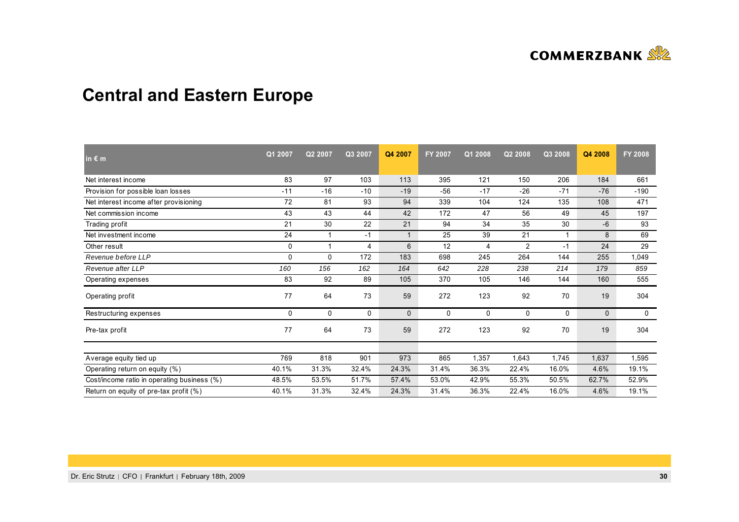

# **Central and Eastern Europe**

| in $\varepsilon$ m                          | Q1 2007      | Q2 2007     | Q3 2007 | Q4 2007      | <b>FY 2007</b> | Q1 2008 | Q2 2008        | Q3 2008 | Q4 2008      | <b>FY 2008</b> |
|---------------------------------------------|--------------|-------------|---------|--------------|----------------|---------|----------------|---------|--------------|----------------|
| Net interest income                         | 83           | 97          | 103     | 113          | 395            | 121     | 150            | 206     | 184          | 661            |
| Provision for possible loan losses          | $-11$        | $-16$       | $-10$   | $-19$        | $-56$          | $-17$   | $-26$          | $-71$   | $-76$        | $-190$         |
| Net interest income after provisioning      | 72           | 81          | 93      | 94           | 339            | 104     | 124            | 135     | 108          | 471            |
| Net commission income                       | 43           | 43          | 44      | 42           | 172            | 47      | 56             | 49      | 45           | 197            |
| Trading profit                              | 21           | 30          | 22      | 21           | 94             | 34      | 35             | 30      | $-6$         | 93             |
| Net investment income                       | 24           | $\mathbf 1$ | $-1$    | $\mathbf{1}$ | 25             | 39      | 21             |         | 8            | 69             |
| Other result                                | 0            | 1           | 4       | 6            | 12             | 4       | $\overline{2}$ | $-1$    | 24           | 29             |
| Revenue before LLP                          | $\mathbf 0$  | 0           | 172     | 183          | 698            | 245     | 264            | 144     | 255          | 1,049          |
| Revenue after LLP                           | 160          | 156         | 162     | 164          | 642            | 228     | 238            | 214     | 179          | 859            |
| Operating expenses                          | 83           | 92          | 89      | 105          | 370            | 105     | 146            | 144     | 160          | 555            |
| Operating profit                            | 77           | 64          | 73      | 59           | 272            | 123     | 92             | 70      | 19           | 304            |
| Restructuring expenses                      | $\mathbf{0}$ | 0           | 0       | $\mathbf{0}$ | 0              | 0       | 0              | 0       | $\mathbf{0}$ | $\mathbf 0$    |
| Pre-tax profit                              | 77           | 64          | 73      | 59           | 272            | 123     | 92             | 70      | 19           | 304            |
|                                             |              |             |         |              |                |         |                |         |              |                |
| Average equity tied up                      | 769          | 818         | 901     | 973          | 865            | 1,357   | 1,643          | 1,745   | 1,637        | 1,595          |
| Operating return on equity (%)              | 40.1%        | 31.3%       | 32.4%   | 24.3%        | 31.4%          | 36.3%   | 22.4%          | 16.0%   | 4.6%         | 19.1%          |
| Cost/income ratio in operating business (%) | 48.5%        | 53.5%       | 51.7%   | 57.4%        | 53.0%          | 42.9%   | 55.3%          | 50.5%   | 62.7%        | 52.9%          |
| Return on equity of pre-tax profit (%)      | 40.1%        | 31.3%       | 32.4%   | 24.3%        | 31.4%          | 36.3%   | 22.4%          | 16.0%   | 4.6%         | 19.1%          |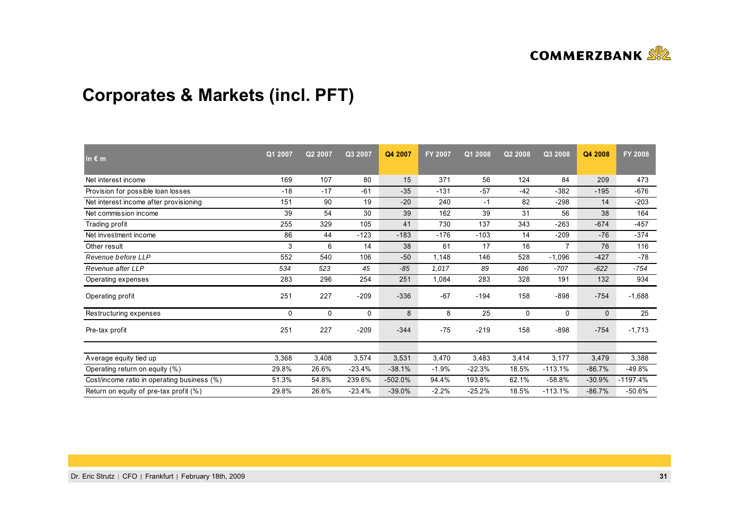

# **Corporates & Markets (incl. PFT)**

| in $\epsilon$ m                             | Q1 2007      | Q2 2007 | Q3 2007  | Q4 2007   | <b>FY 2007</b> | Q1 2008  | Q2 2008      | Q3 2008      | Q4 2008      | <b>FY 2008</b> |
|---------------------------------------------|--------------|---------|----------|-----------|----------------|----------|--------------|--------------|--------------|----------------|
| Net interest income                         | 169          | 107     | 80       | 15        | 371            | 56       | 124          | 84           | 209          | 473            |
| Provision for possible loan losses          | $-18$        | $-17$   | $-61$    | $-35$     | $-131$         | $-57$    | $-42$        | $-382$       | $-195$       | $-676$         |
| Net interest income after provisioning      | 151          | 90      | 19       | $-20$     | 240            | $-1$     | 82           | $-298$       | 14           | $-203$         |
| Net commission income                       | 39           | 54      | 30       | 39        | 162            | 39       | 31           | 56           | 38           | 164            |
| Trading profit                              | 255          | 329     | 105      | 41        | 730            | 137      | 343          | $-263$       | $-674$       | $-457$         |
| Net investment income                       | 86           | 44      | $-123$   | $-183$    | $-176$         | $-103$   | 14           | $-209$       | $-76$        | $-374$         |
| Other result                                | 3            | 6       | 14       | 38        | 61             | 17       | 16           |              | 76           | 116            |
| Revenue before LLP                          | 552          | 540     | 106      | $-50$     | 1,148          | 146      | 528          | $-1,096$     | $-427$       | -78            |
| Revenue after LLP                           | 534          | 523     | 45       | $-85$     | 1,017          | 89       | 486          | $-707$       | $-622$       | $-754$         |
| Operating expenses                          | 283          | 296     | 254      | 251       | 1,084          | 283      | 328          | 191          | 132          | 934            |
| Operating profit                            | 251          | 227     | $-209$   | $-336$    | $-67$          | $-194$   | 158          | $-898$       | $-754$       | $-1,688$       |
| Restructuring expenses                      | $\mathbf{0}$ | 0       | 0        | 8         | 8              | 25       | $\mathbf{0}$ | $\mathbf{0}$ | $\mathbf{0}$ | 25             |
| Pre-tax profit                              | 251          | 227     | $-209$   | $-344$    | $-75$          | $-219$   | 158          | $-898$       | $-754$       | $-1,713$       |
|                                             |              |         |          |           |                |          |              |              |              |                |
| Average equity tied up                      | 3,368        | 3,408   | 3,574    | 3,531     | 3,470          | 3,483    | 3,414        | 3,177        | 3,479        | 3,388          |
| Operating return on equity (%)              | 29.8%        | 26.6%   | $-23.4%$ | $-38.1%$  | $-1.9%$        | $-22.3%$ | 18.5%        | $-113.1%$    | $-86.7%$     | $-49.8%$       |
| Cost/income ratio in operating business (%) | 51.3%        | 54.8%   | 239.6%   | $-502.0%$ | 94.4%          | 193.8%   | 62.1%        | $-58.8%$     | $-30.9%$     | $-1197.4%$     |
| Return on equity of pre-tax profit (%)      | 29.8%        | 26.6%   | $-23.4%$ | $-39.0%$  | $-2.2%$        | $-25.2%$ | 18.5%        | $-113.1%$    | $-86.7%$     | $-50.6\%$      |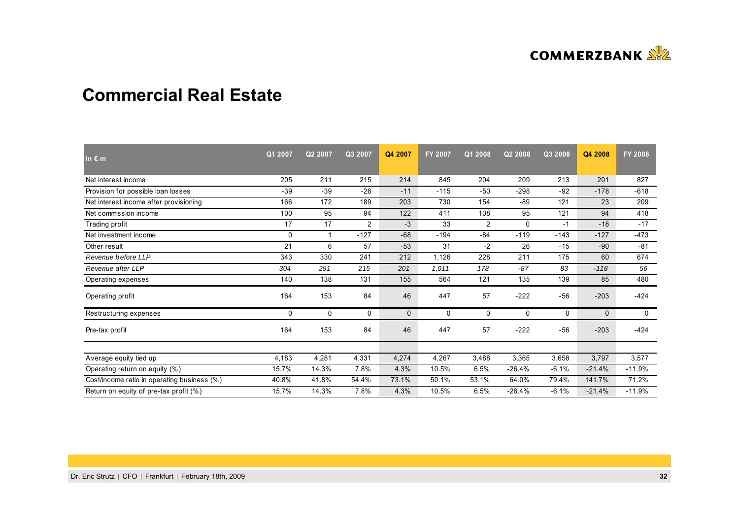

## **Commercial Real Estate**

| in $\epsilon$ m                             | Q1 2007      | Q2 2007  | Q3 2007 | Q4 2007      | <b>FY 2007</b> | Q1 2008  | Q2 2008      | Q3 2008      | Q4 2008      | <b>FY 2008</b> |
|---------------------------------------------|--------------|----------|---------|--------------|----------------|----------|--------------|--------------|--------------|----------------|
| Net interest income                         | 205          | 211      | 215     | 214          | 845            | 204      | 209          | 213          | 201          | 827            |
| Provision for possible loan losses          | $-39$        | $-39$    | $-26$   | $-11$        | $-115$         | $-50$    | $-298$       | $-92$        | $-178$       | $-618$         |
| Net interest income after provisioning      | 166          | 172      | 189     | 203          | 730            | 154      | $-89$        | 121          | 23           | 209            |
| Net commission income                       | 100          | 95       | 94      | 122          | 411            | 108      | 95           | 121          | 94           | 418            |
| Trading profit                              | 17           | 17       | 2       | -3           | 33             | 2        | 0            | $-1$         | $-18$        | $-17$          |
| Net investment income                       | 0            | -1       | $-127$  | $-68$        | $-194$         | $-84$    | $-119$       | $-143$       | $-127$       | $-473$         |
| Other result                                | 21           | 6        | 57      | $-53$        | 31             | $-2$     | 26           | $-15$        | $-90$        | $-81$          |
| Revenue before LLP                          | 343          | 330      | 241     | 212          | 1,126          | 228      | 211          | 175          | 60           | 674            |
| Revenue after LLP                           | 304          | 291      | 215     | 201          | 1,011          | 178      | $-87$        | 83           | $-118$       | 56             |
| Operating expenses                          | 140          | 138      | 131     | 155          | 564            | 121      | 135          | 139          | 85           | 480            |
| Operating profit                            | 164          | 153      | 84      | 46           | 447            | 57       | $-222$       | $-56$        | $-203$       | $-424$         |
| Restructuring expenses                      | $\mathbf{0}$ | $\Omega$ | 0       | $\mathbf{0}$ | 0              | $\Omega$ | $\mathbf{0}$ | $\mathbf{0}$ | $\mathbf{0}$ | $\mathbf 0$    |
| Pre-tax profit                              | 164          | 153      | 84      | 46           | 447            | 57       | $-222$       | $-56$        | $-203$       | $-424$         |
|                                             |              |          |         |              |                |          |              |              |              |                |
| Average equity tied up                      | 4,183        | 4,281    | 4,331   | 4,274        | 4,267          | 3,488    | 3,365        | 3,658        | 3,797        | 3,577          |
| Operating return on equity (%)              | 15.7%        | 14.3%    | 7.8%    | 4.3%         | 10.5%          | 6.5%     | $-26.4%$     | $-6.1%$      | $-21.4%$     | $-11.9%$       |
| Cost/income ratio in operating business (%) | 40.8%        | 41.8%    | 54.4%   | 73.1%        | 50.1%          | 53.1%    | 64.0%        | 79.4%        | 141.7%       | 71.2%          |
| Return on equity of pre-tax profit (%)      | 15.7%        | 14.3%    | 7.8%    | 4.3%         | 10.5%          | 6.5%     | $-26.4%$     | $-6.1%$      | $-21.4%$     | $-11.9%$       |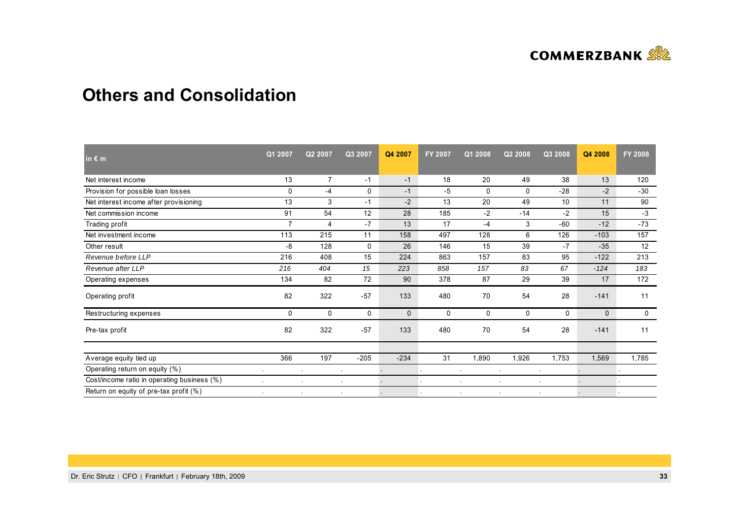

## **Others and Consolidation**

| in $\epsilon$ m                             | Q1 2007        | Q2 2007        | Q3 2007   | Q4 2007      | <b>FY 2007</b> | Q1 2008 | Q2 2008 | Q3 2008     | Q4 2008      | FY 2008 |
|---------------------------------------------|----------------|----------------|-----------|--------------|----------------|---------|---------|-------------|--------------|---------|
| Net interest income                         | 13             | $\overline{7}$ | $-1$      | $-1$         | 18             | 20      | 49      | 38          | 13           | 120     |
| Provision for possible loan losses          | $\mathbf 0$    | $-4$           | 0         | $-1$         | $-5$           | 0       | 0       | $-28$       | $-2$         | $-30$   |
| Net interest income after provisioning      | 13             | 3              | $-1$      | $-2$         | 13             | 20      | 49      | 10          | 11           | 90      |
| Net commission income                       | 91             | 54             | 12        | 28           | 185            | $-2$    | $-14$   | $-2$        | 15           | $-3$    |
| Trading profit                              | $\overline{7}$ | $\overline{4}$ | $-7$      | 13           | 17             | $-4$    | 3       | $-60$       | $-12$        | $-73$   |
| Net investment income                       | 113            | 215            | 11        | 158          | 497            | 128     | 6       | 126         | $-103$       | 157     |
| Other result                                | -8             | 128            | 0         | 26           | 146            | 15      | 39      | $-7$        | $-35$        | 12      |
| Revenue before LLP                          | 216            | 408            | 15        | 224          | 863            | 157     | 83      | 95          | $-122$       | 213     |
| Revenue after LLP                           | 216            | 404            | 15        | 223          | 858            | 157     | 83      | 67          | $-124$       | 183     |
| Operating expenses                          | 134            | 82             | 72        | 90           | 378            | 87      | 29      | 39          | 17           | 172     |
| Operating profit                            | 82             | 322            | $-57$     | 133          | 480            | 70      | 54      | 28          | $-141$       | 11      |
| Restructuring expenses                      | $\mathbf 0$    | 0              | 0         | $\mathbf{0}$ | 0              | 0       | 0       | $\mathbf 0$ | $\mathbf{0}$ | 0       |
| Pre-tax profit                              | 82             | 322            | $-57$     | 133          | 480            | 70      | 54      | 28          | $-141$       | 11      |
| Average equity tied up                      | 366            | 197            | $-205$    | $-234$       | 31             | 1,890   | 1,926   | 1,753       | 1,569        | 1,785   |
| Operating return on equity (%)              |                |                |           |              |                |         |         |             |              |         |
| Cost/income ratio in operating business (%) | $\blacksquare$ |                | $\bullet$ |              |                |         |         | $\bullet$   |              |         |
| Return on equity of pre-tax profit (%)      | $\mathbf{r}$   |                | $\bullet$ |              |                |         |         |             |              |         |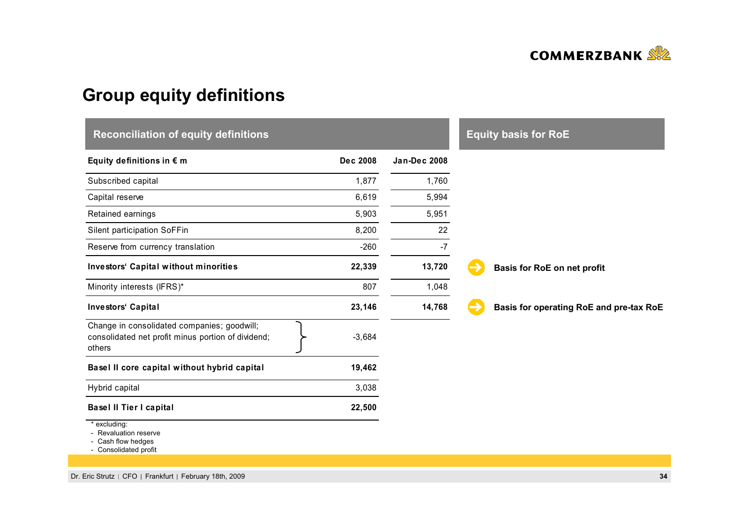

# **Group equity definitions**

| <b>Reconciliation of equity definitions</b>                                                                                                                                                                                                                                     |          |                     | <b>Equity basis for RoE</b>             |
|---------------------------------------------------------------------------------------------------------------------------------------------------------------------------------------------------------------------------------------------------------------------------------|----------|---------------------|-----------------------------------------|
| Equity definitions in $\epsilon$ m                                                                                                                                                                                                                                              | Dec 2008 | <b>Jan-Dec 2008</b> |                                         |
| Subscribed capital                                                                                                                                                                                                                                                              | 1,877    | 1,760               |                                         |
| Capital reserve                                                                                                                                                                                                                                                                 | 6,619    | 5,994               |                                         |
| Retained earnings                                                                                                                                                                                                                                                               | 5,903    | 5,951               |                                         |
| Silent participation SoFFin                                                                                                                                                                                                                                                     | 8,200    | 22                  |                                         |
| Reserve from currency translation                                                                                                                                                                                                                                               | $-260$   | $-7$                |                                         |
| Investors' Capital without minorities                                                                                                                                                                                                                                           | 22,339   | 13,720              | Basis for RoE on net profit             |
| Minority interests (IFRS)*                                                                                                                                                                                                                                                      | 807      | 1,048               |                                         |
| Investors' Capital                                                                                                                                                                                                                                                              | 23,146   | 14,768              | Basis for operating RoE and pre-tax RoE |
| Change in consolidated companies; goodwill;<br>consolidated net profit minus portion of dividend;<br>others                                                                                                                                                                     | $-3,684$ |                     |                                         |
| Basel II core capital without hybrid capital                                                                                                                                                                                                                                    | 19,462   |                     |                                         |
| Hybrid capital                                                                                                                                                                                                                                                                  | 3,038    |                     |                                         |
| <b>Basel II Tier I capital</b>                                                                                                                                                                                                                                                  | 22,500   |                     |                                         |
| * excluding:<br>- Revaluation reserve<br>$\bigcap_{n=1}^{\infty}$ . It is a function of the set of the set of the set of the set of the set of the set of the set of the set of the set of the set of the set of the set of the set of the set of the set of the set of the set |          |                     |                                         |

- Cash flow hedges - Consolidated profit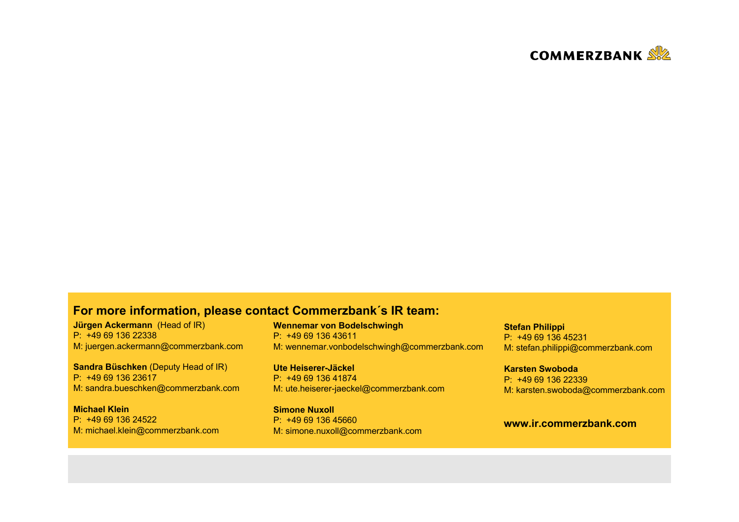

### **For more information, please contact Commerzbank´s IR team:**

**Jürgen Ackermann** (Head of IR) P: +49 69 136 22338M: juergen.ackermann@commerzbank.com

**Sandra Büschken** (Deputy Head of IR) P: +49 69 136 23617M: sandra.bueschken@commerzbank.com

**Michael Klein**P: +49 69 136 24522M: michael.klein@commerzbank.com **Wennemar von Bodelschwingh** P: +49 69 136 43611M: wennemar.vonbodelschwingh@commerzbank.com

**Ute Heiserer-Jäckel**P: +49 69 136 41874M: ute.heiserer-jaeckel@commerzbank.com

**Simone Nuxoll** P: +49 69 136 45660M: simone.nuxoll@commerzbank.com **Stefan Philippi** P: +49 69 136 45231M: stefan.philippi@commerzbank.com

**Karsten Swoboda**P: +49 69 136 22339M: karsten.swoboda@commerzbank.com

#### **www.ir.commerzbank.com**